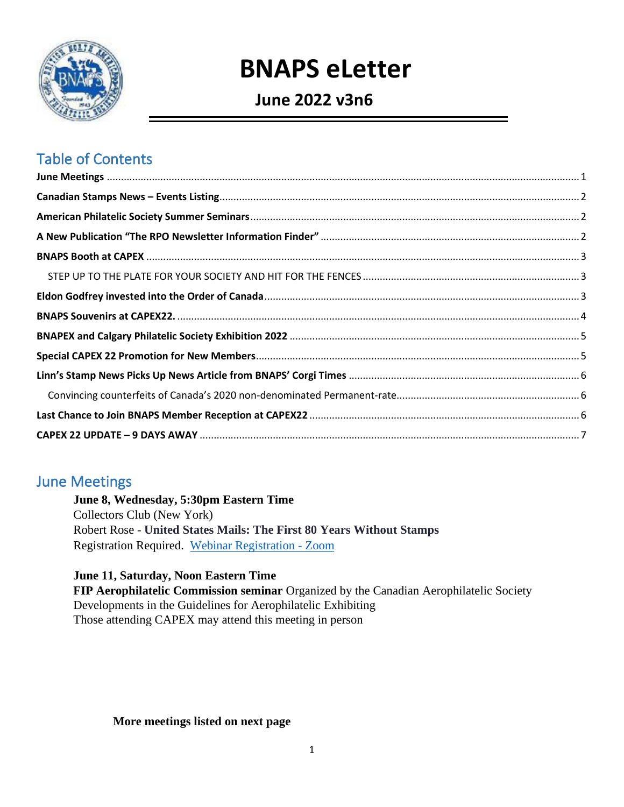

# **BNAPS eLetter**

# **June 2022 v3n6**

# Table of Contents

### <span id="page-0-0"></span>June Meetings

**June 8, Wednesday, 5:30pm Eastern Time**  Collectors Club (New York) Robert Rose - **United States Mails: The First 80 Years Without Stamps**  Registration Required. [Webinar Registration - Zoom](https://us02web.zoom.us/webinar/register/1016415091715/WN_mvYI0Tx2RAqYkWXCfrPa-A)

**June 11, Saturday, Noon Eastern Time** 

**FIP Aerophilatelic Commission seminar** Organized by the Canadian Aerophilatelic Society Developments in the Guidelines for Aerophilatelic Exhibiting Those attending CAPEX may attend this meeting in person

#### **More meetings listed on next page**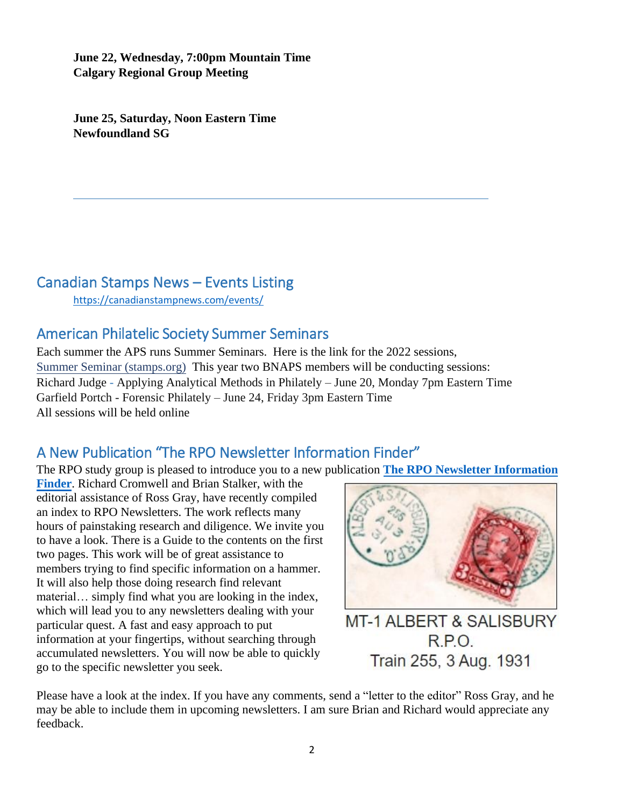**June 22, Wednesday, 7:00pm Mountain Time Calgary Regional Group Meeting** 

**June 25, Saturday, Noon Eastern Time Newfoundland SG** 

### <span id="page-1-0"></span>Canadian Stamps News – Events Listing

<https://canadianstampnews.com/events/>

### <span id="page-1-1"></span>American Philatelic Society Summer Seminars

Each summer the APS runs Summer Seminars. Here is the link for the 2022 sessions, [Summer Seminar \(stamps.org\)](https://stamps.org/learn/on-the-road-courses/summer-seminar) This year two BNAPS members will be conducting sessions: Richard Judge - Applying Analytical Methods in Philately – June 20, Monday 7pm Eastern Time Garfield Portch - Forensic Philately – June 24, Friday 3pm Eastern Time All sessions will be held online

### <span id="page-1-2"></span>A New Publication "The RPO Newsletter Information Finder"

The RPO study group is pleased to introduce you to a new publication **[The RPO Newsletter Information](https://bnaps.org/studygroups/rpo/documents/RPO-NewsletterIndex-20220414.pdf)**

**[Finder](https://bnaps.org/studygroups/rpo/documents/RPO-NewsletterIndex-20220414.pdf)**. Richard Cromwell and Brian Stalker, with the editorial assistance of Ross Gray, have recently compiled an index to RPO Newsletters. The work reflects many hours of painstaking research and diligence. We invite you to have a look. There is a Guide to the contents on the first two pages. This work will be of great assistance to members trying to find specific information on a hammer. It will also help those doing research find relevant material… simply find what you are looking in the index, which will lead you to any newsletters dealing with your particular quest. A fast and easy approach to put information at your fingertips, without searching through accumulated newsletters. You will now be able to quickly go to the specific newsletter you seek.



**MT-1 ALBERT & SALISBURY RPO** Train 255, 3 Aug. 1931

Please have a look at the index. If you have any comments, send a "letter to the editor" Ross Gray, and he may be able to include them in upcoming newsletters. I am sure Brian and Richard would appreciate any feedback.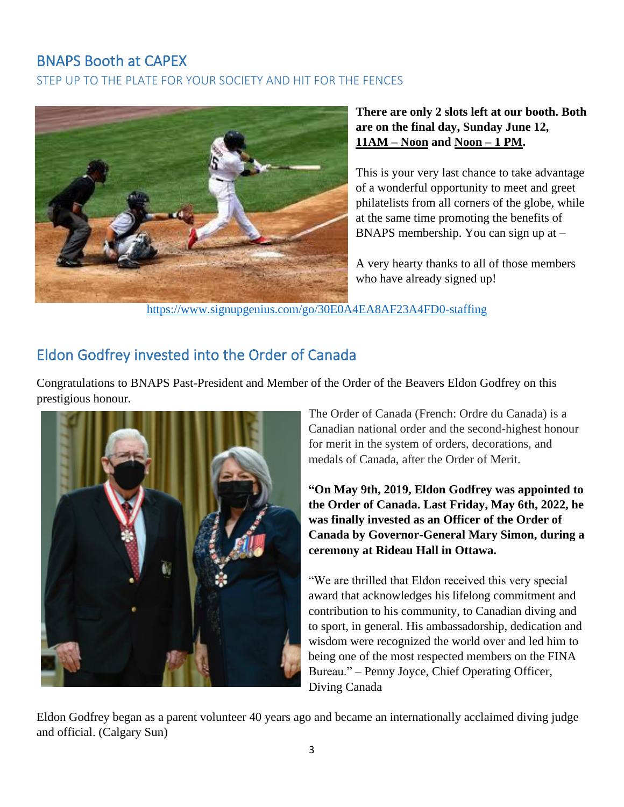### <span id="page-2-0"></span>BNAPS Booth at CAPEX

<span id="page-2-1"></span>STEP UP TO THE PLATE FOR YOUR SOCIETY AND HIT FOR THE FENCES



#### **There are only 2 slots left at our booth. Both are on the final day, Sunday June 12, 11AM – Noon and Noon – 1 PM.**

This is your very last chance to take advantage of a wonderful opportunity to meet and greet philatelists from all corners of the globe, while at the same time promoting the benefits of BNAPS membership. You can sign up at –

A very hearty thanks to all of those members who have already signed up!

<https://www.signupgenius.com/go/30E0A4EA8AF23A4FD0-staffing>

## <span id="page-2-2"></span>Eldon Godfrey invested into the Order of Canada

Congratulations to BNAPS Past-President and Member of the Order of the Beavers Eldon Godfrey on this prestigious honour.



The Order of Canada (French: Ordre du Canada) is a Canadian national order and the second-highest honour for merit in the system of orders, decorations, and medals of Canada, after the Order of Merit.

**"On May 9th, 2019, Eldon Godfrey was appointed to the Order of Canada. Last Friday, May 6th, 2022, he was finally invested as an Officer of the Order of Canada by Governor-General Mary Simon, during a ceremony at Rideau Hall in Ottawa.**

"We are thrilled that Eldon received this very special award that acknowledges his lifelong commitment and contribution to his community, to Canadian diving and to sport, in general. His ambassadorship, dedication and wisdom were recognized the world over and led him to being one of the most respected members on the FINA Bureau." – Penny Joyce, Chief Operating Officer, Diving Canada

Eldon Godfrey began as a parent volunteer 40 years ago and became an internationally acclaimed diving judge and official. (Calgary Sun)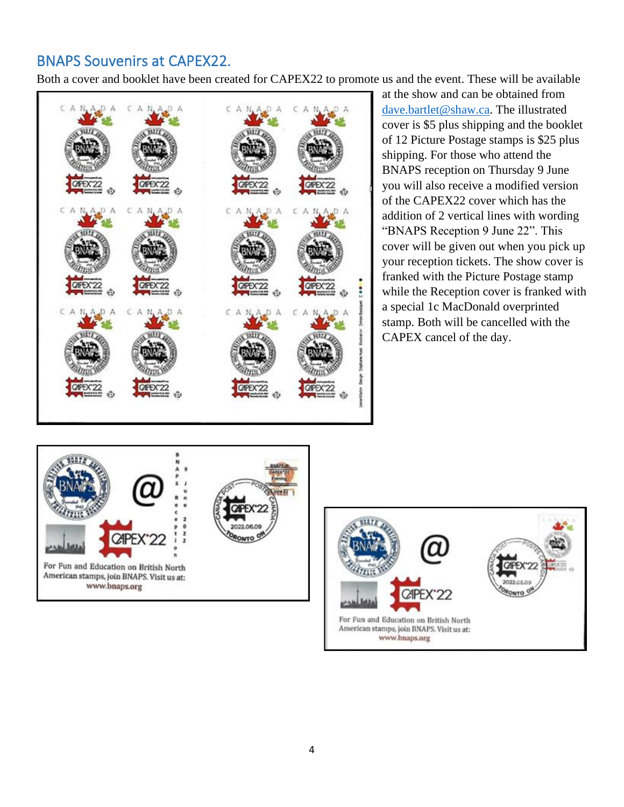## <span id="page-3-0"></span>BNAPS Souvenirs at CAPEX22.

Both a cover and booklet have been created for CAPEX22 to promote us and the event. These will be available



at the show and can be obtained from [dave.bartlet@shaw.ca.](mailto:dave.bartlet@shaw.ca) The illustrated cover is \$5 plus shipping and the booklet of 12 Picture Postage stamps is \$25 plus shipping. For those who attend the BNAPS reception on Thursday 9 June you will also receive a modified version of the CAPEX22 cover which has the addition of 2 vertical lines with wording "BNAPS Reception 9 June 22". This cover will be given out when you pick up your reception tickets. The show cover is franked with the Picture Postage stamp while the Reception cover is franked with a special 1c MacDonald overprinted stamp. Both will be cancelled with the CAPEX cancel of the day.



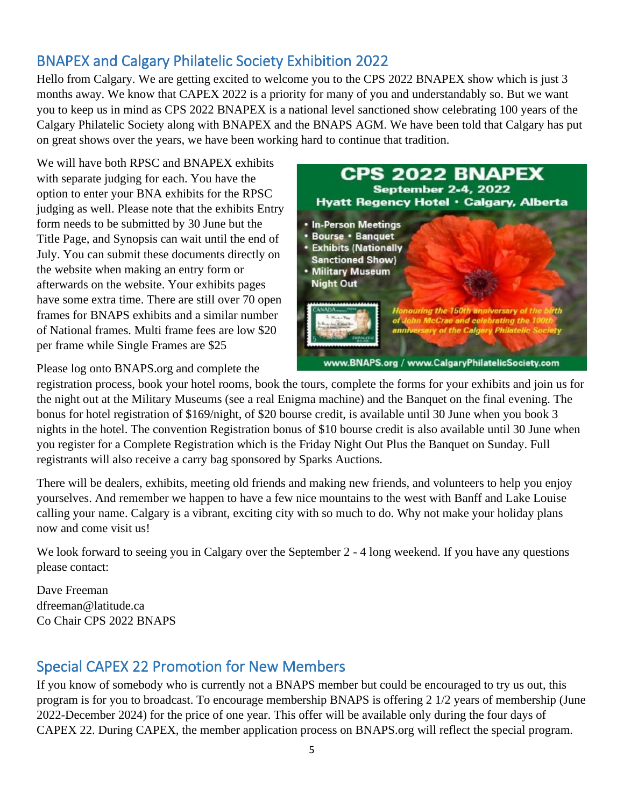# <span id="page-4-0"></span>BNAPEX and Calgary Philatelic Society Exhibition 2022

Hello from Calgary. We are getting excited to welcome you to the CPS 2022 BNAPEX show which is just 3 months away. We know that CAPEX 2022 is a priority for many of you and understandably so. But we want you to keep us in mind as CPS 2022 BNAPEX is a national level sanctioned show celebrating 100 years of the Calgary Philatelic Society along with BNAPEX and the BNAPS AGM. We have been told that Calgary has put on great shows over the years, we have been working hard to continue that tradition.

We will have both RPSC and BNAPEX exhibits with separate judging for each. You have the option to enter your BNA exhibits for the RPSC judging as well. Please note that the exhibits Entry form needs to be submitted by 30 June but the Title Page, and Synopsis can wait until the end of July. You can submit these documents directly on the website when making an entry form or afterwards on the website. Your exhibits pages have some extra time. There are still over 70 open frames for BNAPS exhibits and a similar number of National frames. Multi frame fees are low \$20 per frame while Single Frames are \$25



Please log onto BNAPS.org and complete the

registration process, book your hotel rooms, book the tours, complete the forms for your exhibits and join us for the night out at the Military Museums (see a real Enigma machine) and the Banquet on the final evening. The bonus for hotel registration of \$169/night, of \$20 bourse credit, is available until 30 June when you book 3 nights in the hotel. The convention Registration bonus of \$10 bourse credit is also available until 30 June when you register for a Complete Registration which is the Friday Night Out Plus the Banquet on Sunday. Full registrants will also receive a carry bag sponsored by Sparks Auctions.

There will be dealers, exhibits, meeting old friends and making new friends, and volunteers to help you enjoy yourselves. And remember we happen to have a few nice mountains to the west with Banff and Lake Louise calling your name. Calgary is a vibrant, exciting city with so much to do. Why not make your holiday plans now and come visit us!

We look forward to seeing you in Calgary over the September 2 - 4 long weekend. If you have any questions please contact:

Dave Freeman dfreeman@latitude.ca Co Chair CPS 2022 BNAPS

# <span id="page-4-1"></span>Special CAPEX 22 Promotion for New Members

If you know of somebody who is currently not a BNAPS member but could be encouraged to try us out, this program is for you to broadcast. To encourage membership BNAPS is offering 2 1/2 years of membership (June 2022-December 2024) for the price of one year. This offer will be available only during the four days of CAPEX 22. During CAPEX, the member application process on BNAPS.org will reflect the special program.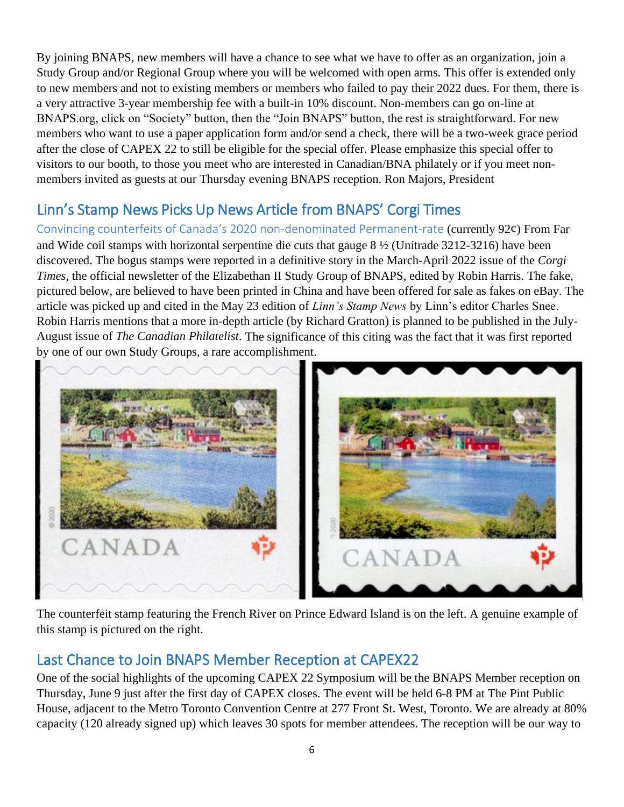By joining BNAPS, new members will have a chance to see what we have to offer as an organization, join a Study Group and/or Regional Group where you will be welcomed with open arms. This offer is extended only to new members and not to existing members or members who failed to pay their 2022 dues. For them, there is a very attractive 3-year membership fee with a built-in 10% discount. Non-members can go on-line at BNAPS.org, click on "Society" button, then the "Join BNAPS" button, the rest is straightforward. For new members who want to use a paper application form and/or send a check, there will be a two-week grace period after the close of CAPEX 22 to still be eligible for the special offer. Please emphasize this special offer to visitors to our booth, to those you meet who are interested in Canadian/BNA philately or if you meet nonmembers invited as guests at our Thursday evening BNAPS reception. Ron Majors, President

# <span id="page-5-0"></span>Linn's Stamp News Picks Up News Article from BNAPS' Corgi Times

<span id="page-5-1"></span>Convincing counterfeits of Canada's 2020 non-denominated Permanent-rate (currently 92¢) From Far and Wide coil stamps with horizontal serpentine die cuts that gauge 8 ½ (Unitrade 3212-3216) have been discovered. The bogus stamps were reported in a definitive story in the March-April 2022 issue of the *Corgi Times,* the official newsletter of the Elizabethan II Study Group of BNAPS, edited by Robin Harris. The fake, pictured below, are believed to have been printed in China and have been offered for sale as fakes on eBay. The article was picked up and cited in the May 23 edition of *Linn's Stamp News* by Linn's editor Charles Snee. Robin Harris mentions that a more in-depth article (by Richard Gratton) is planned to be published in the July-August issue of *The Canadian Philatelist*. The significance of this citing was the fact that it was first reported by one of our own Study Groups, a rare accomplishment.



The counterfeit stamp featuring the French River on Prince Edward Island is on the left. A genuine example of this stamp is pictured on the right.

### <span id="page-5-2"></span>Last Chance to Join BNAPS Member Reception at CAPEX22

One of the social highlights of the upcoming CAPEX 22 Symposium will be the BNAPS Member reception on Thursday, June 9 just after the first day of CAPEX closes. The event will be held 6-8 PM at The Pint Public House, adjacent to the Metro Toronto Convention Centre at 277 Front St. West, Toronto. We are already at 80% capacity (120 already signed up) which leaves 30 spots for member attendees. The reception will be our way to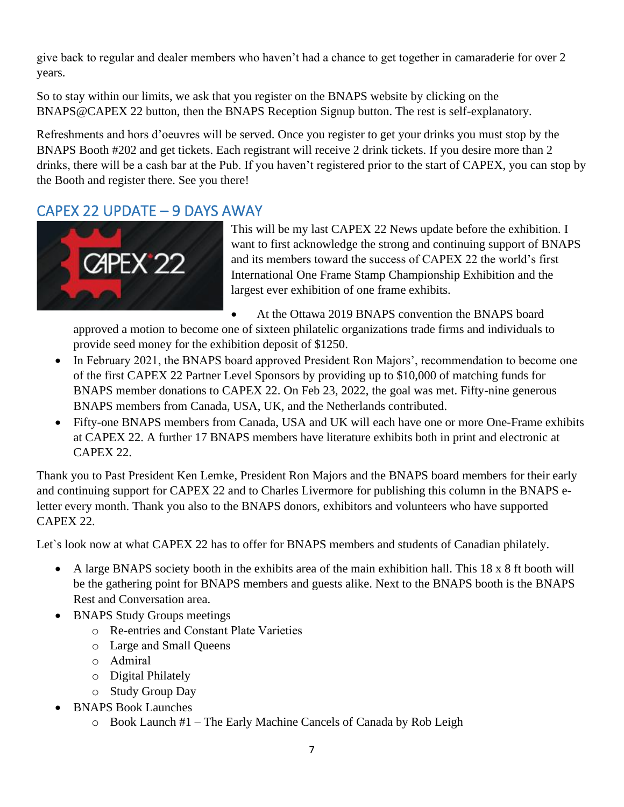give back to regular and dealer members who haven't had a chance to get together in camaraderie for over 2 years.

So to stay within our limits, we ask that you register on the BNAPS website by clicking on the BNAPS@CAPEX 22 button, then the BNAPS Reception Signup button. The rest is self-explanatory.

Refreshments and hors d'oeuvres will be served. Once you register to get your drinks you must stop by the BNAPS Booth #202 and get tickets. Each registrant will receive 2 drink tickets. If you desire more than 2 drinks, there will be a cash bar at the Pub. If you haven't registered prior to the start of CAPEX, you can stop by the Booth and register there. See you there!

### <span id="page-6-0"></span>CAPEX 22 UPDATE – 9 DAYS AWAY



This will be my last CAPEX 22 News update before the exhibition. I want to first acknowledge the strong and continuing support of BNAPS and its members toward the success of CAPEX 22 the world's first International One Frame Stamp Championship Exhibition and the largest ever exhibition of one frame exhibits.

• At the Ottawa 2019 BNAPS convention the BNAPS board

approved a motion to become one of sixteen philatelic organizations trade firms and individuals to provide seed money for the exhibition deposit of \$1250.

- In February 2021, the BNAPS board approved President Ron Majors', recommendation to become one of the first CAPEX 22 Partner Level Sponsors by providing up to \$10,000 of matching funds for BNAPS member donations to CAPEX 22. On Feb 23, 2022, the goal was met. Fifty-nine generous BNAPS members from Canada, USA, UK, and the Netherlands contributed.
- Fifty-one BNAPS members from Canada, USA and UK will each have one or more One-Frame exhibits at CAPEX 22. A further 17 BNAPS members have literature exhibits both in print and electronic at CAPEX 22.

Thank you to Past President Ken Lemke, President Ron Majors and the BNAPS board members for their early and continuing support for CAPEX 22 and to Charles Livermore for publishing this column in the BNAPS eletter every month. Thank you also to the BNAPS donors, exhibitors and volunteers who have supported CAPEX 22.

Let's look now at what CAPEX 22 has to offer for BNAPS members and students of Canadian philately.

- A large BNAPS society booth in the exhibits area of the main exhibition hall. This 18 x 8 ft booth will be the gathering point for BNAPS members and guests alike. Next to the BNAPS booth is the BNAPS Rest and Conversation area.
- BNAPS Study Groups meetings
	- o Re-entries and Constant Plate Varieties
	- o Large and Small Queens
	- o Admiral
	- o Digital Philately
	- o Study Group Day
- BNAPS Book Launches
	- o Book Launch #1 The Early Machine Cancels of Canada by Rob Leigh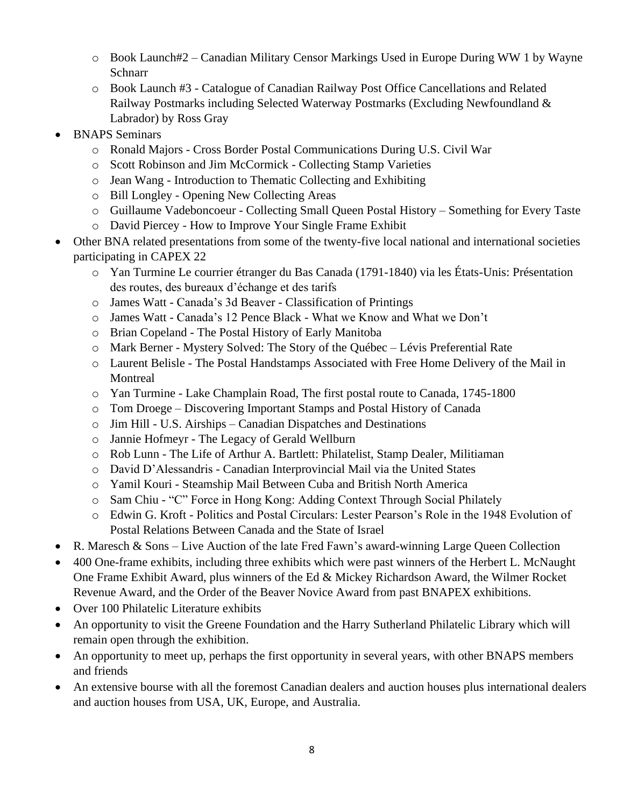- o Book Launch#2 Canadian Military Censor Markings Used in Europe During WW 1 by Wayne **Schnarr**
- o Book Launch #3 Catalogue of Canadian Railway Post Office Cancellations and Related Railway Postmarks including Selected Waterway Postmarks (Excluding Newfoundland & Labrador) by Ross Gray
- BNAPS Seminars
	- o Ronald Majors Cross Border Postal Communications During U.S. Civil War
	- o Scott Robinson and Jim McCormick Collecting Stamp Varieties
	- o Jean Wang Introduction to Thematic Collecting and Exhibiting
	- o Bill Longley Opening New Collecting Areas
	- o Guillaume Vadeboncoeur Collecting Small Queen Postal History Something for Every Taste
	- o David Piercey How to Improve Your Single Frame Exhibit
- Other BNA related presentations from some of the twenty-five local national and international societies participating in CAPEX 22
	- o Yan Turmine Le courrier étranger du Bas Canada (1791-1840) via les États-Unis: Présentation des routes, des bureaux d'échange et des tarifs
	- o James Watt Canada's 3d Beaver Classification of Printings
	- o James Watt Canada's 12 Pence Black What we Know and What we Don't
	- o Brian Copeland The Postal History of Early Manitoba
	- o Mark Berner Mystery Solved: The Story of the Québec Lévis Preferential Rate
	- o Laurent Belisle The Postal Handstamps Associated with Free Home Delivery of the Mail in Montreal
	- o Yan Turmine Lake Champlain Road, The first postal route to Canada, 1745-1800
	- o Tom Droege Discovering Important Stamps and Postal History of Canada
	- o Jim Hill U.S. Airships Canadian Dispatches and Destinations
	- o Jannie Hofmeyr The Legacy of Gerald Wellburn
	- o Rob Lunn The Life of Arthur A. Bartlett: Philatelist, Stamp Dealer, Militiaman
	- o David D'Alessandris Canadian Interprovincial Mail via the United States
	- o Yamil Kouri Steamship Mail Between Cuba and British North America
	- o Sam Chiu "C" Force in Hong Kong: Adding Context Through Social Philately
	- o Edwin G. Kroft Politics and Postal Circulars: Lester Pearson's Role in the 1948 Evolution of Postal Relations Between Canada and the State of Israel
- R. Maresch & Sons Live Auction of the late Fred Fawn's award-winning Large Queen Collection
- 400 One-frame exhibits, including three exhibits which were past winners of the Herbert L. McNaught One Frame Exhibit Award, plus winners of the Ed & Mickey Richardson Award, the Wilmer Rocket Revenue Award, and the Order of the Beaver Novice Award from past BNAPEX exhibitions.
- Over 100 Philatelic Literature exhibits
- An opportunity to visit the Greene Foundation and the Harry Sutherland Philatelic Library which will remain open through the exhibition.
- An opportunity to meet up, perhaps the first opportunity in several years, with other BNAPS members and friends
- An extensive bourse with all the foremost Canadian dealers and auction houses plus international dealers and auction houses from USA, UK, Europe, and Australia.